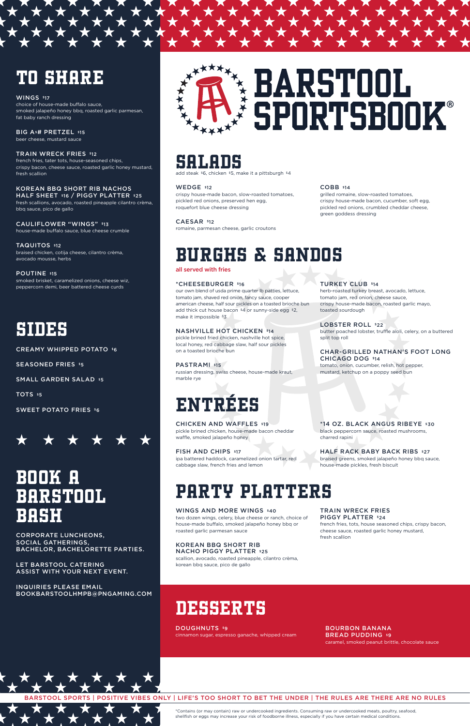



## SALADS

add steak \$6, chicken \$5, make it a pittsburgh \$4

#### WEDGE \$12

crispy house-made bacon, slow-roasted tomatoes, pickled red onions, preserved hen egg, roquefort blue cheese dressing

#### CAESAR \$12

romaine, parmesan cheese, garlic croutons

#### COBB \$14

PASTRAMI \$15 russian dressing, swiss cheese, house-made kraut, marble rye

grilled romaine, slow-roasted tomatoes, crispy house-made bacon, cucumber, soft egg, pickled red onions, crumbled cheddar cheese, green goddess dressing

# BURGHS & SANDOS

all served with fries

### \*CHEESEBURGER \$16

our own blend of usda prime quarter lb patties, lettuce, tomato jam, shaved red onion, fancy sauce, cooper american cheese, half sour pickles on a toasted brioche bun add thick cut house bacon \$4 or sunny-side egg \$2, make it impossible \$3

FISH AND CHIPS \$17 ipa battered haddock, caramelized onion tartar, red cabbage slaw, french fries and lemon

HALF RACK BABY BACK RIBS \$27 braised greens, smoked jalapeño honey bbq sauce, house-made pickles, fresh biscuit

#### NASHVILLE HOT CHICKEN \$14

pickle brined fried chicken, nashville hot spice, local honey, red cabbage slaw, half sour pickles on a toasted brioche bun

#### TRAIN WRECK FRIES PIGGY PLATTER \$24

### TURKEY CLUB \$14

herb-roasted turkey breast, avocado, lettuce, tomato jam, red onion, cheese sauce, crispy house-made bacon, roasted garlic mayo, toasted sourdough

#### LOBSTER ROLL \$22

BIG A<sup>\$#</sup> PRETZEL \$15 beer cheese, mustard sauce

> butter poached lobster, truffle aïoli, celery, on a buttered split top roll

CAULIFLOWER "WINGS" \$13 house-made buffalo sauce, blue cheese crumble

#### CHAR-GRILLED NATHAN'S FOOT LONG CHICAGO DOG \$14

tomato, onion, cucumber, relish, hot pepper, mustard, ketchup on a poppy seed bun

# ENTRÉES

CHICKEN AND WAFFLES \$19 pickle brined chicken, house-made bacon cheddar waffle, smoked jalapeño honey

DOUGHNUTS \$9 cinnamon sugar, espresso ganache, whipped cream

\*14 OZ. BLACK ANGUS RIBEYE \$30 black peppercorn sauce, roasted mushrooms,

charred rapini

# PARTY PLATTERS

### WINGS AND MORE WINGS \$40

two dozen wings, celery, blue cheese or ranch, choice of house-made buffalo, smoked jalapeño honey bbq or roasted garlic parmesan sauce

KOREAN BBQ SHORT RIB NACHO PIGGY PLATTER \$25

scallion, avocado, roasted pineapple, cilantro crèma, korean bbq sauce, pico de gallo

french fries, tots, house seasoned chips, crispy bacon, cheese sauce, roasted garlic honey mustard,

fresh scallion

# TO SHARE

#### WINGS \$17

choice of house-made buffalo sauce, smoked jalapeño honey bbq, roasted garlic parmesan, fat baby ranch dressing

TRAIN WRECK FRIES \$12 french fries, tater tots, house-seasoned chips, crispy bacon, cheese sauce, roasted garlic honey mustard, fresh scallion

### KOREAN BBQ SHORT RIB NACHOS

HALF SHEET \$16 / PIGGY PLATTER \$25 fresh scallions, avocado, roasted pineapple cilantro crèma, bbq sauce, pico de gallo

### TAQUITOS \$12

braised chicken, cotija cheese, cilantro crèma, avocado mousse, herbs

#### POUTINE \$15

smoked brisket, caramelized onions, cheese wiz, peppercorn demi, beer battered cheese curds

## SIDES

CREAMY WHIPPED POTATO \$6

SEASONED FRIES \$5

SMALL GARDEN SALAD \$5

TOTS \$5

SWEET POTATO FRIES \$6



# BOOK A BARSTOOL BASH

CORPORATE LUNCHEONS, SOCIAL GATHERINGS, BACHELOR, BACHELORETTE PARTIES.



LET BARSTOOL CATERING ASSIST WITH YOUR NEXT EVENT.

INQUIRIES PLEASE EMAIL BOOKBARSTOOLHMPB@PNGAMING.COM

# DESSERTS

#### BOURBON BANANA **BREAD PUDDING \$9** caramel, smoked peanut brittle, chocolate sauce